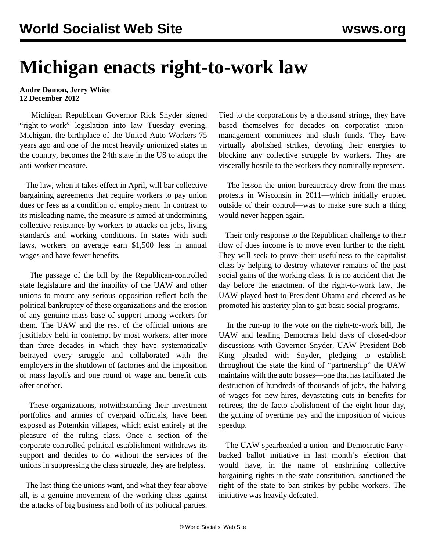## **Michigan enacts right-to-work law**

## **Andre Damon, Jerry White 12 December 2012**

 Michigan Republican Governor Rick Snyder signed "right-to-work" legislation into law Tuesday evening. Michigan, the birthplace of the United Auto Workers 75 years ago and one of the most heavily unionized states in the country, becomes the 24th state in the US to adopt the anti-worker measure.

 The law, when it takes effect in April, will bar collective bargaining agreements that require workers to pay union dues or fees as a condition of employment. In contrast to its misleading name, the measure is aimed at undermining collective resistance by workers to attacks on jobs, living standards and working conditions. In states with such laws, workers on average earn \$1,500 less in annual wages and have fewer benefits.

 The passage of the bill by the Republican-controlled state legislature and the inability of the UAW and other unions to mount any serious opposition reflect both the political bankruptcy of these organizations and the erosion of any genuine mass base of support among workers for them. The UAW and the rest of the official unions are justifiably held in contempt by most workers, after more than three decades in which they have systematically betrayed every struggle and collaborated with the employers in the shutdown of factories and the imposition of mass layoffs and one round of wage and benefit cuts after another.

 These organizations, notwithstanding their investment portfolios and armies of overpaid officials, have been exposed as Potemkin villages, which exist entirely at the pleasure of the ruling class. Once a section of the corporate-controlled political establishment withdraws its support and decides to do without the services of the unions in suppressing the class struggle, they are helpless.

 The last thing the unions want, and what they fear above all, is a genuine movement of the working class against the attacks of big business and both of its political parties.

Tied to the corporations by a thousand strings, they have based themselves for decades on corporatist unionmanagement committees and slush funds. They have virtually abolished strikes, devoting their energies to blocking any collective struggle by workers. They are viscerally hostile to the workers they nominally represent.

 The lesson the union bureaucracy drew from the mass protests in Wisconsin in 2011—which initially erupted outside of their control—was to make sure such a thing would never happen again.

 Their only response to the Republican challenge to their flow of dues income is to move even further to the right. They will seek to prove their usefulness to the capitalist class by helping to destroy whatever remains of the past social gains of the working class. It is no accident that the day before the enactment of the right-to-work law, the UAW played host to President Obama and cheered as he promoted his austerity plan to gut basic social programs.

 In the run-up to the vote on the right-to-work bill, the UAW and leading Democrats held days of closed-door discussions with Governor Snyder. UAW President Bob King pleaded with Snyder, pledging to establish throughout the state the kind of "partnership" the UAW maintains with the auto bosses—one that has facilitated the destruction of hundreds of thousands of jobs, the halving of wages for new-hires, devastating cuts in benefits for retirees, the de facto abolishment of the eight-hour day, the gutting of overtime pay and the imposition of vicious speedup.

 The UAW spearheaded a union- and Democratic Partybacked ballot initiative in last month's election that would have, in the name of enshrining collective bargaining rights in the state constitution, sanctioned the right of the state to ban strikes by public workers. The initiative was heavily defeated.